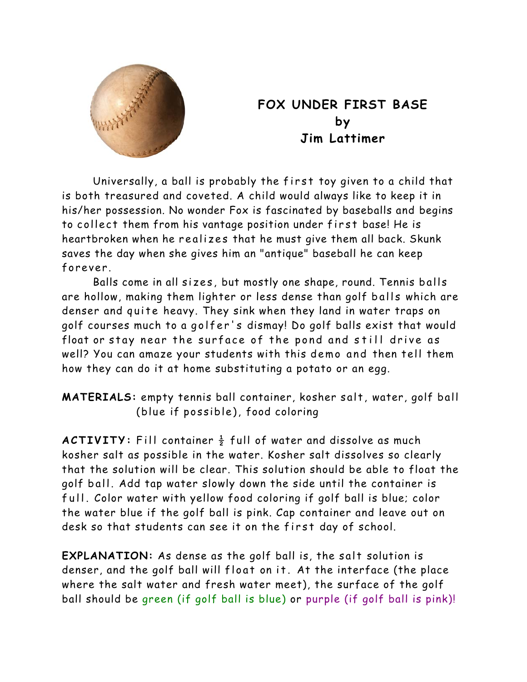

## **FOX UNDER FIRST BASE by Jim Lattimer**

Universally, a ball is probably the first toy given to a child that is both treasured and coveted. A child would always like to keep it in his/her possession. No wonder Fox is fascinated by baseballs and begins to collect them from his vantage position under first base! He is heartbroken when he realizes that he must give them all back. Skunk saves the day when she gives him an "antique" baseball he can keep forever.

Balls come in all sizes, but mostly one shape, round. Tennis balls are hollow, making them lighter or less dense than golf balls which are denser and quite heavy. They sink when they land in water traps on golf courses much to a golfer's dismay! Do golf balls exist that would float or stay near the surface of the pond and still drive as well? You can amaze your students with this demo and then tell them how they can do it at home substituting a potato or an egg.

**MATERIALS:** empty tennis ball container, kosher salt, water, golf ball (blue if possible), food coloring

**ACTIVITY:** Fill container  $\frac{1}{2}$  full of water and dissolve as much kosher salt as possible in the water. Kosher salt dissolves so clearly that the solution will be clear. This solution should be able to float the golf ball. Add tap water slowly down the side until the container is full. Color water with yellow food coloring if golf ball is blue; color the water blue if the golf ball is pink. Cap container and leave out on desk so that students can see it on the first day of school.

**EXPLANATION:** As dense as the golf ball is, the salt solution is denser, and the golf ball will float on it. At the interface (the place where the salt water and fresh water meet), the surface of the golf ball should be green (if golf ball is blue) or purple (if golf ball is pink)!